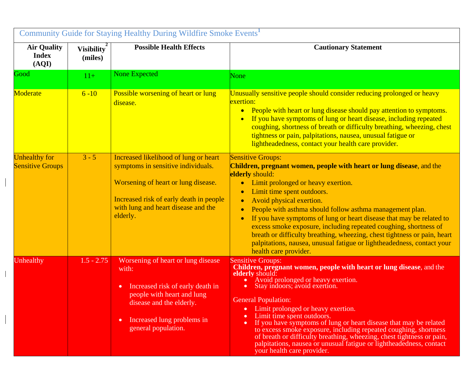| Community Guide for Staying Healthy During Wildfire Smoke Events <sup>1</sup> |                              |                                                                                                                                                                                                                  |                                                                                                                                                                                                                                                                                                                                                                                                                                                                                                                                                                                                                                                                             |  |
|-------------------------------------------------------------------------------|------------------------------|------------------------------------------------------------------------------------------------------------------------------------------------------------------------------------------------------------------|-----------------------------------------------------------------------------------------------------------------------------------------------------------------------------------------------------------------------------------------------------------------------------------------------------------------------------------------------------------------------------------------------------------------------------------------------------------------------------------------------------------------------------------------------------------------------------------------------------------------------------------------------------------------------------|--|
| <b>Air Quality</b><br><b>Index</b><br>(AQI)                                   | <b>Visibility</b><br>(miles) | <b>Possible Health Effects</b>                                                                                                                                                                                   | <b>Cautionary Statement</b>                                                                                                                                                                                                                                                                                                                                                                                                                                                                                                                                                                                                                                                 |  |
| Good                                                                          | $11+$                        | <b>None Expected</b>                                                                                                                                                                                             | None                                                                                                                                                                                                                                                                                                                                                                                                                                                                                                                                                                                                                                                                        |  |
| Moderate                                                                      | $6 - 10$                     | Possible worsening of heart or lung<br>disease.                                                                                                                                                                  | Unusually sensitive people should consider reducing prolonged or heavy<br>exertion:<br>People with heart or lung disease should pay attention to symptoms.<br>$\bullet$<br>If you have symptoms of lung or heart disease, including repeated<br>coughing, shortness of breath or difficulty breathing, wheezing, chest<br>tightness or pain, palpitations, nausea, unusual fatigue or<br>lightheadedness, contact your health care provider.                                                                                                                                                                                                                                |  |
| <b>Unhealthy for</b><br><b>Sensitive Groups</b>                               | $3 - 5$                      | Increased likelihood of lung or heart<br>symptoms in sensitive individuals.<br>Worsening of heart or lung disease.<br>Increased risk of early death in people<br>with lung and heart disease and the<br>elderly. | <b>Sensitive Groups:</b><br>Children, pregnant women, people with heart or lung disease, and the<br>elderly should:<br>Limit prolonged or heavy exertion.<br>$\bullet$<br>Limit time spent outdoors.<br>$\bullet$<br>Avoid physical exertion.<br>$\bullet$<br>People with asthma should follow asthma management plan.<br>$\bullet$<br>If you have symptoms of lung or heart disease that may be related to<br>$\bullet$<br>excess smoke exposure, including repeated coughing, shortness of<br>breath or difficulty breathing, wheezing, chest tightness or pain, heart<br>palpitations, nausea, unusual fatigue or lightheadedness, contact your<br>health care provider. |  |
| Unhealthy                                                                     | $1.5 - 2.75$                 | Worsening of heart or lung disease<br>with:<br>Increased risk of early death in<br>people with heart and lung<br>disease and the elderly.<br>Increased lung problems in<br>٠<br>general population.              | <b>Sensitive Groups:</b><br>Children, pregnant women, people with heart or lung disease, and the<br>elderly should:<br>Avoid prolonged or heavy exertion.<br>Stay indoors; avoid exertion.<br><b>General Population:</b><br>Limit prolonged or heavy exertion.<br>Limit time spent outdoors.<br>If you have symptoms of lung or heart disease that may be related<br>$\bullet$<br>to excess smoke exposure, including repeated coughing, shortness<br>of breath or difficulty breathing, wheezing, chest tightness or pain,<br>palpitations, nausea or unusual fatigue or lightheadedness, contact<br>your health care provider.                                            |  |

 $\overline{\phantom{a}}$